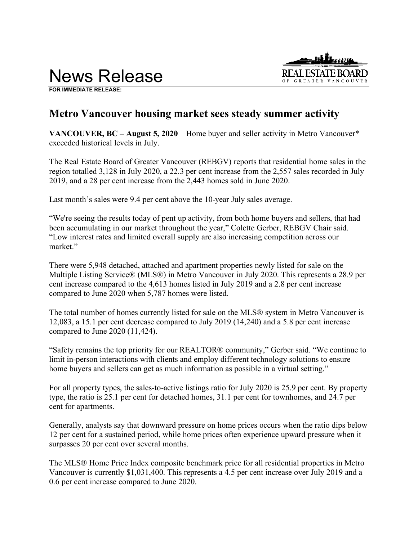News Release



**FOR IMMEDIATE RELEASE:** 

# **Metro Vancouver housing market sees steady summer activity**

**VANCOUVER, BC – August 5, 2020** – Home buyer and seller activity in Metro Vancouver\* exceeded historical levels in July.

The Real Estate Board of Greater Vancouver (REBGV) reports that residential home sales in the region totalled 3,128 in July 2020, a 22.3 per cent increase from the 2,557 sales recorded in July 2019, and a 28 per cent increase from the 2,443 homes sold in June 2020.

Last month's sales were 9.4 per cent above the 10-year July sales average.

"We're seeing the results today of pent up activity, from both home buyers and sellers, that had been accumulating in our market throughout the year," Colette Gerber, REBGV Chair said. "Low interest rates and limited overall supply are also increasing competition across our market."

There were 5,948 detached, attached and apartment properties newly listed for sale on the Multiple Listing Service® (MLS®) in Metro Vancouver in July 2020. This represents a 28.9 per cent increase compared to the 4,613 homes listed in July 2019 and a 2.8 per cent increase compared to June 2020 when 5,787 homes were listed.

The total number of homes currently listed for sale on the MLS® system in Metro Vancouver is 12,083, a 15.1 per cent decrease compared to July 2019 (14,240) and a 5.8 per cent increase compared to June 2020 (11,424).

"Safety remains the top priority for our REALTOR® community," Gerber said. "We continue to limit in-person interactions with clients and employ different technology solutions to ensure home buyers and sellers can get as much information as possible in a virtual setting."

For all property types, the sales-to-active listings ratio for July 2020 is 25.9 per cent. By property type, the ratio is 25.1 per cent for detached homes, 31.1 per cent for townhomes, and 24.7 per cent for apartments.

Generally, analysts say that downward pressure on home prices occurs when the ratio dips below 12 per cent for a sustained period, while home prices often experience upward pressure when it surpasses 20 per cent over several months.

The MLS® Home Price Index composite benchmark price for all residential properties in Metro Vancouver is currently \$1,031,400. This represents a 4.5 per cent increase over July 2019 and a 0.6 per cent increase compared to June 2020.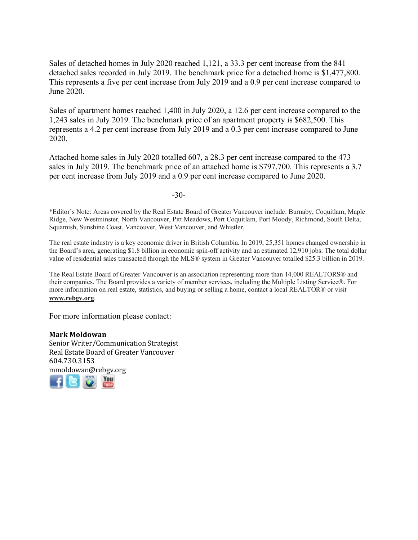Sales of detached homes in July 2020 reached 1,121, a 33.3 per cent increase from the 841 detached sales recorded in July 2019. The benchmark price for a detached home is \$1,477,800. This represents a five per cent increase from July 2019 and a 0.9 per cent increase compared to June 2020.

Sales of apartment homes reached 1,400 in July 2020, a 12.6 per cent increase compared to the 1,243 sales in July 2019. The benchmark price of an apartment property is \$682,500. This represents a 4.2 per cent increase from July 2019 and a 0.3 per cent increase compared to June 2020.

Attached home sales in July 2020 totalled 607, a 28.3 per cent increase compared to the 473 sales in July 2019. The benchmark price of an attached home is \$797,700. This represents a 3.7 per cent increase from July 2019 and a 0.9 per cent increase compared to June 2020.

-30-

\*Editor's Note: Areas covered by the Real Estate Board of Greater Vancouver include: Burnaby, Coquitlam, Maple Ridge, New Westminster, North Vancouver, Pitt Meadows, Port Coquitlam, Port Moody, Richmond, South Delta, Squamish, Sunshine Coast, Vancouver, West Vancouver, and Whistler.

The real estate industry is a key economic driver in British Columbia. In 2019, 25,351 homes changed ownership in the Board's area, generating \$1.8 billion in economic spin-off activity and an estimated 12,910 jobs. The total dollar value of residential sales transacted through the MLS® system in Greater Vancouver totalled \$25.3 billion in 2019.

The Real Estate Board of Greater Vancouver is an association representing more than 14,000 REALTORS® and their companies. The Board provides a variety of member services, including the Multiple Listing Service®. For more information on real estate, statistics, and buying or selling a home, contact a local REALTOR® or visit **www.rebgv.org**.

For more information please contact:

# **Mark Moldowan**

Senior Writer/Communication Strategist Real Estate Board of Greater Vancouver 604.730.3153 [mmo](http://www.facebook.com/rebgv)[ldow](http://www.twitter.com/rebgv)an[@r](http://www.rebgv.org/)[ebgv.o](http://www.youtube.com/user/rebgv)rg

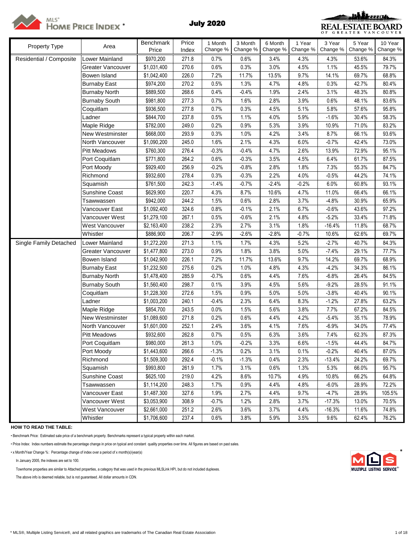

# **MLS'**<br>
HOME PRICE INDEX<sup>\*</sup> July 2020



| Property Type           | Area                  | Benchmark<br>Price | Price<br>Index | 1 Month<br>Change % | 3 Month<br>Change % | 6 Month<br>Change % | 1 Year<br>Change % | 3 Year<br>Change % | 5 Year<br>Change % | 10 Year<br>Change % |
|-------------------------|-----------------------|--------------------|----------------|---------------------|---------------------|---------------------|--------------------|--------------------|--------------------|---------------------|
| Residential / Composite | Lower Mainland        | \$970,200          | 271.8          | 0.7%                | 0.6%                | 3.4%                | 4.3%               | 4.3%               | 53.6%              | 84.3%               |
|                         | Greater Vancouver     | \$1,031,400        | 270.6          | 0.6%                | 0.3%                | 3.0%                | 4.5%               | 1.1%               | 45.5%              | 79.7%               |
|                         | Bowen Island          | \$1,042,400        | 226.0          | 7.2%                | 11.7%               | 13.5%               | 9.7%               | 14.1%              | 69.7%              | 68.8%               |
|                         | <b>Burnaby East</b>   | \$974,200          | 270.2          | 0.5%                | 1.3%                | 4.7%                | 4.8%               | 0.3%               | 42.7%              | 80.4%               |
|                         | <b>Burnaby North</b>  | \$889,500          | 268.6          | 0.4%                | $-0.4%$             | 1.9%                | 2.4%               | 3.1%               | 48.3%              | 80.8%               |
|                         | <b>Burnaby South</b>  | \$981,800          | 277.3          | 0.7%                | 1.6%                | 2.8%                | 3.9%               | 0.6%               | 48.1%              | 83.6%               |
|                         | Coquitlam             | \$936,500          | 277.8          | 0.7%                | 0.3%                | 4.5%                | 5.1%               | 5.8%               | 57.6%              | 95.8%               |
|                         | Ladner                | \$844,700          | 237.8          | 0.5%                | 1.1%                | 4.0%                | 5.9%               | $-1.6%$            | 30.4%              | 58.3%               |
|                         | Maple Ridge           | \$782,000          | 249.0          | 0.2%                | 0.9%                | 5.3%                | 3.9%               | 10.9%              | 71.0%              | 83.2%               |
|                         | New Westminster       | \$668,000          | 293.9          | 0.3%                | 1.0%                | 4.2%                | 3.4%               | 8.7%               | 66.1%              | 93.6%               |
|                         | North Vancouver       | \$1,090,200        | 245.0          | 1.6%                | 2.1%                | 4.3%                | 6.0%               | $-0.7%$            | 42.4%              | 73.0%               |
|                         | <b>Pitt Meadows</b>   | \$760,300          | 276.4          | $-0.3%$             | $-0.4%$             | 4.7%                | 2.6%               | 13.9%              | 72.9%              | 95.1%               |
|                         | Port Coquitlam        | \$771,800          | 264.2          | 0.6%                | $-0.3%$             | 3.5%                | 4.5%               | 6.4%               | 61.7%              | 87.5%               |
|                         | Port Moody            | \$929,400          | 256.9          | $-0.2%$             | $-0.8%$             | 2.8%                | 1.8%               | 7.3%               | 55.3%              | 84.7%               |
|                         | Richmond              | \$932,600          | 278.4          | 0.3%                | $-0.3%$             | 2.2%                | 4.0%               | $-0.5%$            | 44.2%              | 74.1%               |
|                         | Squamish              | \$761,500          | 242.3          | $-1.4%$             | $-0.7%$             | $-2.4%$             | $-0.2%$            | 6.0%               | 60.8%              | 93.1%               |
|                         | Sunshine Coast        | \$629,900          | 220.7          | 4.3%                | 8.7%                | 10.6%               | 4.7%               | 11.0%              | 66.4%              | 66.1%               |
|                         | Tsawwassen            | \$942,000          | 244.2          | 1.5%                | 0.6%                | 2.8%                | 3.7%               | $-4.8%$            | 30.9%              | 65.9%               |
|                         | Vancouver East        | \$1,092,400        | 324.6          | 0.8%                | $-0.1%$             | 2.1%                | 6.7%               | $-0.6%$            | 43.6%              | 97.2%               |
|                         | Vancouver West        | \$1,279,100        | 267.1          | 0.5%                | $-0.6%$             | 2.1%                | 4.8%               | $-5.2%$            | 33.4%              | 71.8%               |
|                         | West Vancouver        | \$2,163,400        | 238.2          | 2.3%                | 2.7%                | 3.1%                | 1.8%               | $-16.4%$           | 11.8%              | 68.7%               |
|                         | Whistler              | \$886,900          | 206.7          | $-2.9%$             | $-2.6%$             | $-2.8%$             | $-0.7%$            | 10.6%              | 62.6%              | 69.7%               |
| Single Family Detached  | Lower Mainland        | \$1,272,200        | 271.3          | 1.1%                | 1.7%                | 4.3%                | 5.2%               | $-2.7%$            | 40.7%              | 84.3%               |
|                         | Greater Vancouver     | \$1,477,800        | 273.0          | 0.9%                | 1.8%                | 3.8%                | 5.0%               | $-7.4%$            | 29.1%              | 77.7%               |
|                         | Bowen Island          | \$1,042,900        | 226.1          | 7.2%                | 11.7%               | 13.6%               | 9.7%               | 14.2%              | 69.7%              | 68.9%               |
|                         | <b>Burnaby East</b>   | \$1,232,500        | 275.6          | 0.2%                | 1.0%                | 4.8%                | 4.3%               | $-4.2%$            | 34.3%              | 86.1%               |
|                         | <b>Burnaby North</b>  | \$1,478,400        | 285.9          | $-0.7%$             | 0.6%                | 4.4%                | 7.6%               | $-6.8%$            | 26.4%              | 84.5%               |
|                         | <b>Burnaby South</b>  | \$1,560,400        | 298.7          | 0.1%                | 3.9%                | 4.5%                | 5.6%               | $-9.2%$            | 28.5%              | 91.1%               |
|                         | Coquitlam             | \$1,228,300        | 272.6          | 1.5%                | 0.9%                | 5.0%                | 5.0%               | $-3.8%$            | 40.4%              | 90.1%               |
|                         | Ladner                | \$1,003,200        | 240.1          | $-0.4%$             | 2.3%                | 6.4%                | 8.3%               | $-1.2%$            | 27.8%              | 63.2%               |
|                         | Maple Ridge           | \$854,700          | 243.5          | 0.0%                | 1.5%                | 5.6%                | 3.8%               | 7.7%               | 67.2%              | 84.5%               |
|                         | New Westminster       | \$1,089,600        | 271.8          | 0.2%                | 0.6%                | 4.4%                | 4.2%               | $-5.4%$            | 35.1%              | 78.9%               |
|                         | North Vancouver       | \$1,601,000        | 252.1          | 2.4%                | 3.6%                | 4.1%                | 7.6%               | $-6.9%$            | 34.0%              | 77.4%               |
|                         | <b>Pitt Meadows</b>   | \$932,600          | 262.8          | 0.7%                | 0.5%                | 6.3%                | 3.6%               | 7.4%               | 62.3%              | 87.3%               |
|                         | Port Coquitlam        | \$980,000          | 261.3          | 1.0%                | $-0.2%$             | 3.3%                | 6.6%               | $-1.5%$            | 44.4%              | 84.7%               |
|                         | Port Moody            | \$1,443,600        | 266.6          | $-1.3%$             | 0.2%                | 3.1%                | 0.1%               | $-0.2%$            | 40.4%              | 87.0%               |
|                         | Richmond              | \$1,509,300        | 292.4          | $-0.1%$             | $-1.3%$             | 0.4%                | 2.3%               | $-13.4%$           | 24.2%              | 69.7%               |
|                         | Squamish              | \$993,800          | 261.9          | 1.7%                | 3.1%                | 0.6%                | 1.3%               | 5.3%               | 66.0%              | 95.7%               |
|                         | <b>Sunshine Coast</b> | \$625,100          | 219.0          | 4.2%                | 8.6%                | 10.7%               | 4.9%               | 10.8%              | 66.2%              | 64.8%               |
|                         | Tsawwassen            | \$1,114,200        | 248.3          | 1.7%                | 0.9%                | 4.4%                | 4.8%               | $-6.0%$            | 28.9%              | 72.2%               |
|                         | Vancouver East        | \$1,487,300        | 327.6          | 1.9%                | 2.7%                | 4.4%                | 9.7%               | $-4.7%$            | 28.9%              | 105.5%              |
|                         | Vancouver West        | \$3,053,900        | 308.9          | $-0.7%$             | 1.2%                | 2.8%                | 3.7%               | $-17.3%$           | 13.0%              | 70.5%               |
|                         | West Vancouver        | \$2,661,000        | 251.2          | 2.6%                | 3.6%                | 3.7%                | 4.4%               | $-16.3%$           | 11.6%              | 74.8%               |
|                         | Whistler              | \$1,706,600        | 237.4          | 0.6%                | 3.8%                | 5.9%                | 3.5%               | 9.6%               | 62.4%              | 76.2%               |

**HOW TO READ THE TABLE:**

• Benchmark Price: Estimated sale price of a benchmark property. Benchmarks represent a typical property within each market.

• Price Index: Index numbers estimate the percentage change in price on typical and constant quality properties over time. All figures are based on past sales.

• x Month/Year Change %: Percentage change of index over a period of x month(s)/year(s) \*

In January 2005, the indexes are set to 100.

Townhome properties are similar to Attached properties, a category that was used in the previous MLSLink HPI, but do not included duplexes.

The above info is deemed reliable, but is not guaranteed. All dollar amounts in CDN.

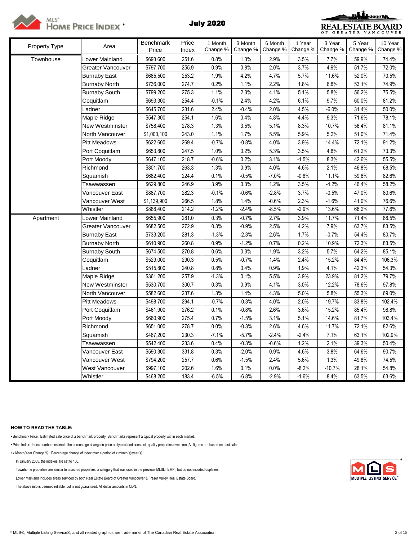



| Property Type | Area                  | <b>Benchmark</b> | Price | 1 Month  | 3 Month  | 6 Month  | 1 Year   | 3 Year   | 5 Year   | 10 Year  |
|---------------|-----------------------|------------------|-------|----------|----------|----------|----------|----------|----------|----------|
|               |                       | Price            | Index | Change % | Change % | Change % | Change % | Change % | Change % | Change % |
| Townhouse     | <b>Lower Mainland</b> | \$693,600        | 251.6 | 0.8%     | 1.3%     | 2.9%     | 3.5%     | 7.7%     | 59.9%    | 74.4%    |
|               | Greater Vancouver     | \$797,700        | 255.9 | 0.9%     | 0.8%     | 2.0%     | 3.7%     | 4.9%     | 51.7%    | 72.0%    |
|               | <b>Burnaby East</b>   | \$685,500        | 253.2 | 1.9%     | 4.2%     | 4.7%     | 5.7%     | 11.6%    | 52.0%    | 70.5%    |
|               | <b>Burnaby North</b>  | \$736,000        | 274.7 | 0.2%     | 1.1%     | 2.2%     | 1.8%     | 6.8%     | 53.1%    | 74.9%    |
|               | <b>Burnaby South</b>  | \$799,200        | 275.3 | 1.1%     | 2.3%     | 4.1%     | 5.1%     | 5.8%     | 56.2%    | 75.5%    |
|               | Coquitlam             | \$693,300        | 254.4 | $-0.1%$  | 2.4%     | 4.2%     | 6.1%     | 9.7%     | 60.0%    | 81.2%    |
|               | Ladner                | \$645,700        | 231.6 | 2.4%     | $-0.4%$  | 2.0%     | 4.5%     | $-6.0%$  | 31.4%    | 50.0%    |
|               | Maple Ridge           | \$547,300        | 254.1 | 1.6%     | 0.4%     | 4.8%     | 4.4%     | 9.3%     | 71.6%    | 78.1%    |
|               | New Westminster       | \$758,400        | 278.3 | 1.3%     | 3.5%     | 5.1%     | 8.3%     | 10.7%    | 56.4%    | 81.1%    |
|               | North Vancouver       | \$1,000,100      | 243.0 | 1.1%     | 1.7%     | 5.5%     | 5.9%     | 5.2%     | 51.0%    | 71.4%    |
|               | <b>Pitt Meadows</b>   | \$622,600        | 269.4 | $-0.7%$  | $-0.8%$  | 4.0%     | 3.9%     | 14.4%    | 72.1%    | 91.2%    |
|               | Port Coquitlam        | \$653,800        | 247.5 | 1.0%     | 0.2%     | 5.3%     | 3.5%     | 4.8%     | 61.2%    | 73.3%    |
|               | Port Moody            | \$647,100        | 218.7 | $-0.6%$  | 0.2%     | 3.1%     | $-1.5%$  | 8.3%     | 42.6%    | 55.5%    |
|               | Richmond              | \$801,700        | 263.3 | 1.3%     | 0.9%     | 4.0%     | 4.6%     | 2.1%     | 46.8%    | 68.5%    |
|               | Squamish              | \$682,400        | 224.4 | 0.1%     | $-0.5%$  | $-7.0%$  | $-0.8%$  | 11.1%    | 59.6%    | 82.6%    |
|               | Tsawwassen            | \$629,800        | 246.9 | 3.9%     | 0.3%     | 1.2%     | 3.5%     | $-4.2%$  | 46.4%    | 58.2%    |
|               | √ancouver East        | \$887,700        | 282.3 | $-0.1%$  | $-0.6%$  | $-2.8%$  | 3.7%     | $-0.5%$  | 47.0%    | 80.6%    |
|               | Vancouver West        | \$1,139,900      | 266.5 | 1.8%     | 1.4%     | $-0.6%$  | 2.3%     | $-1.6%$  | 41.0%    | 76.6%    |
|               | Whistler              | \$888,400        | 214.2 | $-1.2%$  | $-2.4%$  | $-8.5%$  | $-2.9%$  | 13.6%    | 66.2%    | 77.6%    |
| Apartment     | Lower Mainland        | \$655,900        | 281.0 | 0.3%     | $-0.7%$  | 2.7%     | 3.9%     | 11.7%    | 71.4%    | 88.5%    |
|               | Greater Vancouver     | \$682,500        | 272.9 | 0.3%     | $-0.9%$  | 2.5%     | 4.2%     | 7.9%     | 63.7%    | 83.5%    |
|               | <b>Burnaby East</b>   | \$733,200        | 281.3 | $-1.3%$  | $-2.3%$  | 2.6%     | 1.7%     | $-0.7%$  | 54.4%    | 80.7%    |
|               | <b>Burnaby North</b>  | \$610,900        | 260.8 | 0.9%     | $-1.2%$  | 0.7%     | 0.2%     | 10.9%    | 72.3%    | 83.5%    |
|               | <b>Burnaby South</b>  | \$674,500        | 270.8 | 0.6%     | 0.3%     | 1.9%     | 3.2%     | 5.7%     | 64.2%    | 85.1%    |
|               | Coquitlam             | \$529,000        | 290.3 | 0.5%     | $-0.7%$  | 1.4%     | 2.4%     | 15.2%    | 84.4%    | 106.3%   |
|               | Ladner                | \$515,800        | 240.8 | 0.8%     | 0.4%     | 0.9%     | 1.9%     | 4.1%     | 42.3%    | 54.3%    |
|               | Maple Ridge           | \$361,200        | 257.9 | $-1.3%$  | 0.1%     | 5.5%     | 3.9%     | 23.9%    | 81.2%    | 79.7%    |
|               | New Westminster       | \$530,700        | 300.7 | 0.3%     | 0.9%     | 4.1%     | 3.0%     | 12.2%    | 78.6%    | 97.8%    |
|               | North Vancouver       | \$582,600        | 237.6 | 1.3%     | 1.4%     | 4.3%     | 5.0%     | 5.8%     | 55.3%    | 69.0%    |
|               | <b>Pitt Meadows</b>   | \$498,700        | 294.1 | $-0.7%$  | $-0.3%$  | 4.0%     | 2.0%     | 19.7%    | 83.8%    | 102.4%   |
|               | Port Coquitlam        | \$461,900        | 276.2 | 0.1%     | $-0.8%$  | 2.6%     | 3.6%     | 15.2%    | 85.4%    | 98.8%    |
|               | Port Moody            | \$660,900        | 275.4 | 0.7%     | $-1.5%$  | 3.1%     | 5.1%     | 14.6%    | 81.7%    | 103.4%   |
|               | Richmond              | \$651,000        | 278.7 | 0.0%     | $-0.3%$  | 2.6%     | 4.6%     | 11.7%    | 72.1%    | 82.6%    |
|               | Squamish              | \$467,200        | 230.3 | $-7.1%$  | $-5.7%$  | $-2.4%$  | $-2.4%$  | 7.1%     | 63.1%    | 102.9%   |
|               | Tsawwassen            | \$542,400        | 233.6 | 0.4%     | $-0.3%$  | $-0.6%$  | 1.2%     | 2.1%     | 39.3%    | 50.4%    |
|               | √ancouver East        | \$590,300        | 331.8 | 0.3%     | $-2.0%$  | 0.9%     | 4.6%     | 3.8%     | 64.6%    | 90.7%    |
|               | √ancouver West        | \$794,200        | 257.7 | 0.6%     | $-1.5%$  | 2.4%     | 5.6%     | 1.3%     | 49.8%    | 74.5%    |
|               | West Vancouver        | \$997,100        | 202.6 | 1.6%     | 0.1%     | 0.0%     | $-8.2%$  | $-10.7%$ | 28.1%    | 54.8%    |
|               | Whistler              | \$468,200        | 183.4 | $-6.5%$  | $-6.8%$  | $-2.9%$  | $-1.6%$  | 8.4%     | 63.5%    | 63.6%    |

## **HOW TO READ THE TABLE:**

• Benchmark Price: Estimated sale price of a benchmark property. Benchmarks represent a typical property within each market.

• Price Index: Index numbers estimate the percentage change in price on typical and constant quality properties over time. All figures are based on past sales.

• x Month/Year Change %: Percentage change of index over a period of x month(s)/year(s)

In January 2005, the indexes are set to 100. \*

Townhome properties are similar to attached properties, a category that was used in the previous MLSLink HPI, but do not included duplexes.

Lower Mainland includes areas serviced by both Real Estate Board of Greater Vancouver & Fraser Valley Real Estate Board.

The above info is deemed reliable, but is not guaranteed. All dollar amounts in CDN.

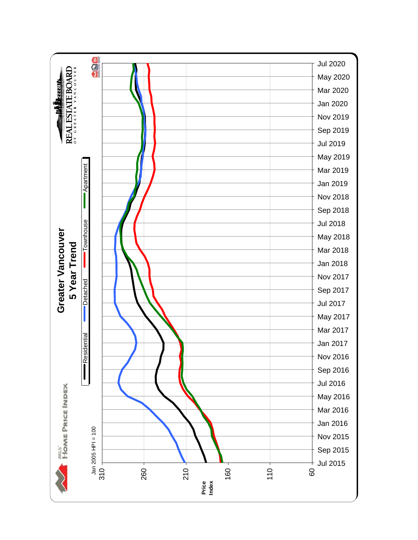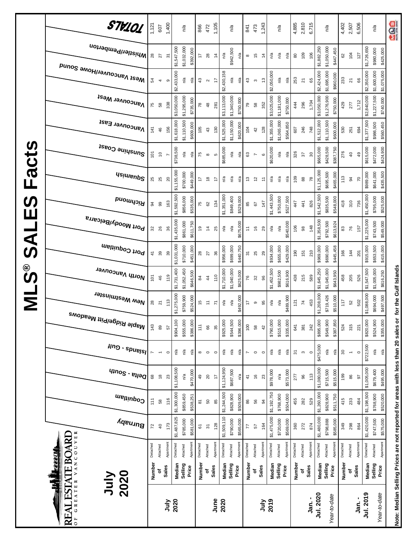|                                     | STV101                                                         | 1,121         | 607             | 1,400                      |             | n/a         |           | 866                 | 472            | 1,105                    |             | n/a         |           | 841           | 473                      | 1,243            |             | n/a         |           | 4,885    | 2,810                   | 6,715               |                   | n/a                      | 4,402    | 2,507                   | 6,506     |             | n/a                        | age                                                                               |
|-------------------------------------|----------------------------------------------------------------|---------------|-----------------|----------------------------|-------------|-------------|-----------|---------------------|----------------|--------------------------|-------------|-------------|-----------|---------------|--------------------------|------------------|-------------|-------------|-----------|----------|-------------------------|---------------------|-------------------|--------------------------|----------|-------------------------|-----------|-------------|----------------------------|-----------------------------------------------------------------------------------|
|                                     | Whistler/Pemberton                                             | 28            | $\overline{27}$ | $\overline{5}$             | \$1,547,500 | \$1,032,000 | \$392,000 | 17                  | 28             | $\ddot{4}$               | n/a         | \$942,500   | n/a       | $\infty$      | $\frac{5}{2}$            | $\dot{4}$        | n/a         | n/a         | n/a       | $\rm 80$ | 109                     | 106                 | \$1,882,250       | \$1,050,000<br>\$447,450 | 62       | 104                     | 127       | \$1,726,650 | \$980,000<br>\$425,000     |                                                                                   |
|                                     | Mest Vancouver/Howe Sound                                      | 54            | 4               | თ                          | \$2,433,000 | n/a         | n/a       | $43\,$              | $\sim$         | 17                       | \$2,430,158 | n/a         | n/a       | 43            | $\boldsymbol{\upsigma}$  | $\frac{3}{2}$    | \$2,050,000 | n/a         | n/a       | 253      | $\overline{\mathbf{z}}$ | 65                  | \$2,424,000       | \$1,695,000<br>\$960,000 | 233      | $\overline{\mathbf{z}}$ | 8         | \$2,350,000 | \$1,600,000<br>\$1,075,000 |                                                                                   |
|                                     | <b>Vancouver West</b>                                          | 75            | $58\,$          | 338                        | \$3,050,000 | \$1,295,000 | \$735,000 | $\overline{78}$     | $\frac{8}{3}$  | 281                      | \$3,113,000 | \$1,340,000 | \$750,000 | 79            | $58\,$                   | 352              | \$3,025,000 | \$1,181,000 | \$750,000 | 44       | 296                     | 1,704               | \$3,050,000       | \$1,276,900<br>\$750,000 | 429      | 277                     | 1,712     | \$2,840,000 | \$1,227,500<br>\$740,000   |                                                                                   |
|                                     | Vancouver East                                                 | 141           | 46              | 156                        | \$1,618,000 | \$1,110,500 | \$609,000 | 105                 | $43$           | 130                      | \$1,525,000 | \$1,150,000 | \$620,000 | 104           | 42                       | 128              | \$1,355,000 | \$1,065,000 | \$564,850 | 607      | 246                     | 748                 | \$1,512,000       | \$1,110,500<br>\$600,000 | 530      | 251                     | 694       | \$1,377,500 | \$986,500<br>\$560,450     |                                                                                   |
| Facts                               | Sunshine Coast                                                 | 101           | $\tilde{0}$     |                            | \$738,500   | n/a         | ηã        | 75                  | $\infty$       | Ю                        | \$685,000   | n/a         | n′a       | 63            | $\overline{\phantom{a}}$ | $\mathbf  \circ$ | \$620,000   | ηá          | n/a       | 326      | 57                      | $\approx$           | \$665,000         | \$428,500<br>\$387,750   | 276      | $\overline{6}$          | 49        | \$615,000   | \$472,000<br>\$424,900     |                                                                                   |
|                                     | <b>Asimeup<sup>2</sup></b>                                     | 25            | 25              | $\boldsymbol{\mathcal{S}}$ | \$1,155,000 | \$700,000   | \$449,000 | 17                  | $\frac{8}{2}$  | 17                       | n/a         | n/a         | n/a       | 13            | $\tilde{c}$              | Ξ                | n/a         | n/a         | n/a       | 109      | $_{88}$                 | 78                  | \$1,125,000       | \$695,500<br>\$465,000   | 113      | $\overline{6}$          | 50        | \$989,000   | \$641,000<br>\$435,500     |                                                                                   |
| <b>S</b>                            | <b>Bromna</b>                                                  | 34            | 99              | 163                        | \$1,592,500 | \$856,000   | \$535,000 | 75                  | 62             | 134                      | \$1,351,000 | \$849,400   | \$529,000 | 85            | 67                       | 147              | \$1,443,500 | \$750,000   | \$527,500 | 447      | 41                      | 826                 | \$1,542,500       | \$835,500<br>\$548,000   | 418      | 310                     | 736       | \$1,450,000 | \$795,000<br>\$525,000     |                                                                                   |
| Щ                                   | Port Moody/Belcarra                                            | 32            | 26              | 36                         | \$1,435,000 | \$861,000   | \$611,750 | é,                  | $\frac{4}{3}$  | 25                       | n/a         | n/a         | \$675,000 | $\tilde{t}$   | $\frac{6}{5}$            | 29               | n/a         | n/a         | \$540,000 | 106      | $\frac{8}{3}$           | 148                 | \$1,358,500       | \$792,500<br>\$613,924   | 83       | 76                      | 157       | \$1,225,000 | \$743,500<br>\$549,000     |                                                                                   |
| <b>UAS</b>                          | Port Coquitlam                                                 | $\frac{4}{1}$ | 39              | 39                         | \$1,031,000 | \$710,000   | \$451,000 | 28                  | 27             | 36                       | \$956,000   | \$699,000   | \$440,750 | 5             | 25                       | 29               | \$934,000   | \$655,000   | \$429,000 | 190      | 151                     | 210                 | \$969,000         | \$690,000<br>\$445,458   | 166      | 144                     | 201       | \$915,000   | \$653,500<br>\$415,000     |                                                                                   |
| $\overset{\circ}{\bm{\mathcal{O}}}$ | North Vancouver                                                | 101           | 46              | 119                        | \$1,731,400 | \$1,052,450 | \$646,500 | $\overline{8}$      | $\frac{4}{4}$  | 110                      | \$1,710,000 | \$1,040,000 | \$625,000 | 76            | 32                       | 96               | \$1,452,500 | \$982,500   | \$616,900 | 438      | 215                     | 589                 | \$1,645,250       | \$1,045,000<br>\$643,950 | 458      | 205                     | 526       | \$1,547,500 | \$1,005,000<br>\$616,250   | for the Gulf Islands                                                              |
| $\overline{\mathbf{z}}$             | New Westminster                                                | 28            | 21              | 113                        | \$1,275,000 | \$759,900   | \$524,000 | 45                  | $\tilde{t}$    | $\overline{r}$           | n/a         | n/a         | \$492,000 | 17            | $\, \circ \,$            | 95               | ηã          | n/a         | \$489,900 | 121      | $\overline{7}$          | 453                 | \$1,208,000       | \$719,426<br>\$510,000   | 117      | 52                      | 502       | \$1,088,000 | \$694,000<br>\$497,500     |                                                                                   |
|                                     | <sup>Maple Ridge/Pitt Meadows</sup>                            | 143           | 89              | 57                         | \$904,100   | \$555,000   | \$386,000 | 111                 | 66             | 35                       | \$925,000   | \$544,500   | \$396,000 | 100           | $58\,$                   | 42               | \$790,000   | \$515,000   | \$335,000 | 641      | 381                     | 242                 | \$895,000         | \$549,900<br>\$387,850   | 524      | 315                     | 221       | \$820,000   | \$524,900<br>\$355,000     |                                                                                   |
|                                     | <b>Hng</b> - spuelsl                                           |               |                 | $\circ$                    | ್ದಿ         | ρŞ          | ηá        | $\infty$            | $\circ$        | $\circ$                  | n/a         | n/a         | n/a       | L             | $\circ$                  | $\circ$          | n/a         | $\tilde{h}$ | n/a       | 5        | $\boldsymbol{\upsigma}$ | $\circ$             | \$475,000         | n/a<br>n/a               | 30       | $\overline{a}$          | $\circ$   | \$722,500   | $n/a$<br>n′a               |                                                                                   |
|                                     | $q_{10}$ elta - South                                          | $^{\rm 63}$   | $\frac{8}{2}$   | 23                         | \$1,108,500 | n/a         | \$470,000 | 49                  | $\gtrsim$      | $\overline{\phantom{a}}$ | \$1,124,950 | \$687,500   | n/a       | $\frac{4}{1}$ | $\frac{6}{2}$            | 23               | \$978,000   | n/a         | \$573,000 | 277      | 96                      | 113                 | \$1,080,000       | \$715,500<br>\$515,000   | 199      | 86                      | 5         | \$1,005,000 | \$679,400<br>\$495,000     |                                                                                   |
|                                     | Coquitlam                                                      | 111           | 38              | 116                        | \$1,300,000 | \$859,450   | \$538,251 | $\overline{\infty}$ | 50             | $85\,$                   | \$1,244,500 | \$828,900   | \$509,000 | 86            | 56                       | \$               | \$1,192,750 | \$768,900   | \$504,000 | 455      | 282                     | 529                 | \$1,260,000       | \$828,900<br>\$511,750   | 415      | 233                     | 484       | \$1,198,500 | \$768,900<br>\$520,000     |                                                                                   |
|                                     | Burnaby                                                        | 72            | $\overline{40}$ | 173                        | \$1,487,825 | \$785,000   | \$581,000 | 67                  | $\overline{5}$ | 128                      | \$1,509,110 | \$790,000   | \$565,000 | 77            | 57                       | 164              | \$1,475,000 | \$720,000   | \$569,000 | 360      | 272                     | 874                 | \$1,480,000       | \$798,888<br>\$585,000   | 349      | 298                     | 864       | \$1,420,000 | \$747,500<br>\$575,000     |                                                                                   |
|                                     | VANCOUVER                                                      | Detached      | Attached        | Apartmen                   | Detached    | Attached    | Apartment | Detached            | Attached       | Apartmen                 | Detached    | Attached    | Apartment | Detached      | Attached                 | Apartmen         | Detached    | Attached    | Apartment | Detached | Attached                | Apartmen            | Detached          | Apartment<br>Attached    | Detached | Attached                | Apartment | Detached    | Apartment<br>Attached      |                                                                                   |
|                                     | <b>ESTATE BOARL</b><br>Ē                                       | Number        | ٥f              | Sales                      | Median      | Selling     | Price     | Number              | ٥              | Sales                    | Median      | Selling     | Price     | Number        | ٥                        | Sales            | Median      | Selling     | Price     | Number   | Sales<br>ō              |                     | Median<br>Selling | Price                    | Number   | ٥f                      | Sales     | Median      | Selling<br>Price           |                                                                                   |
|                                     | 2020<br>July<br>GREATER<br>₹<br>$\mathbf{E}$<br>$\overline{0}$ |               |                 | <b>Alut</b>                | 2020        |             |           |                     |                | June                     | 2020        |             |           |               |                          | July             | 2019        |             |           |          |                         | Jul. 2020<br>Jan. - |                   | Year-to-date             |          |                         | .<br>Jan. | Jul. 2019   | Year-to-date               | Note: Median Selling Prices are not reported for areas with less than 20 sales or |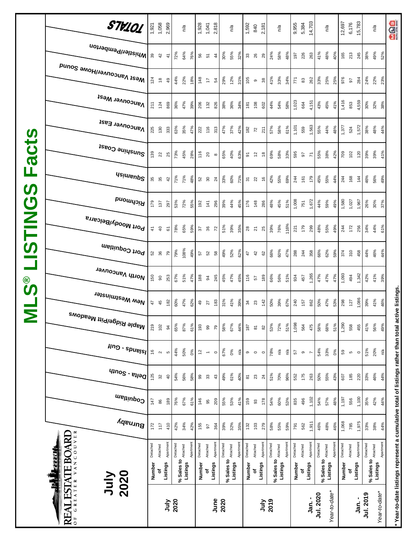|                           | STV101                                           |               | 1,921<br>1,058       | 2,969          |            | n/a      |          | 1,928                    | 1,041                    | 2,818           |            | n/a      |           | 1,592               | 840                    | 2,181          |            | n/a                  |           | 9,955<br>5,384 |                    | 14,703    |            | n/a                  | 12,697   | 6,176          | 15,783    |           | n/a                                     | <b>aga</b>                                                                                          |
|---------------------------|--------------------------------------------------|---------------|----------------------|----------------|------------|----------|----------|--------------------------|--------------------------|-----------------|------------|----------|-----------|---------------------|------------------------|----------------|------------|----------------------|-----------|----------------|--------------------|-----------|------------|----------------------|----------|----------------|-----------|-----------|-----------------------------------------|-----------------------------------------------------------------------------------------------------|
|                           | Whistler/Pemberton                               | 39            | 42                   | $\tilde{t}$    | 72%        | 64%      | 76%      | 56                       | $\overline{5}$           | $\frac{4}{4}$   | 30%        | 55%      | 32%       | $33\,$              | 26                     | 29             | 24%        | 58%                  | 48%       | 197            | 226                | 263       | 41%        | 48%<br>40%           | 165      | 213            | 245       | 38%       | 49%<br>52%                              |                                                                                                     |
|                           | <sub>Me2t</sub> <sub>N</sub> aucon∧e⊾Nome 2onuq  | 124           | $\overset{\circ}{=}$ | 49             | 44%        | 22%      | 18%      | 148                      | 4                        | 54              | 29%        | 12%      | 31%       | 105                 | $\circ$                | $38$           | 41%        | 33%                  | 34%       | 771            | $\pmb{\mathbb{S}}$ | 262       | 33%        | 25%<br>25%           | 976      | 26             | 284       | 24%       | 22%<br>23%                              |                                                                                                     |
|                           | <b>Vancouver West</b>                            | 211           | 124                  | 869            | 36%        | 47%      | 39%      | 206                      | 132                      | 826             | 38%        | 36%      | 34%       | 181                 | 108                    | 602            | 44%        | 54%                  | 58%       | 1,023          | 664                | 4,151     | 43%        | 45%<br>41%           | 1,416    | 853            | 4,559     | 30%       | 32%<br>38%                              |                                                                                                     |
|                           | Vancouver East                                   | 225           | 130                  | 333            | 63%        | 35%      | 47%      | 222                      | 116                      | 313             | 47%        | 37%      | 42%       | 182                 | $\overline{r}$         | 211            | 57%        | 58%                  | 61%       | 1,101          | 559                | 1,563     | 55%        | 44%<br>48%           | 1,377    | 524            | 1,572     | 38%       | 48%<br>44%                              |                                                                                                     |
| <b>acts</b>               | Sunshine Coast                                   | 139           | 22                   | 25             | 73%        | 45%      | 28%      | 116                      | $20\,$                   | $\infty$        | 65%        | 40%      | 63%       | 5                   | $\tilde{\mathfrak{h}}$ | $\frac{8}{16}$ | 69%        | 58%                  | 33%       | 595            | 5                  | 71        | 55%        | 38%<br>42%           | 709      | 102            | 120       | 39%       | 41%<br>39%                              |                                                                                                     |
| щ                         | <b>Asimeup<sup>2</sup></b>                       |               | 35                   | 42             | 71%        | 71%      | 48%      | 52<br>30                 |                          | $\overline{24}$ | 33%        | 60%      | 71%       | 51                  | 22                     | $\frac{6}{5}$  | 42%        | 55%                  | 69%       | 244            | 161                | 179       | 45%        | 55%<br>44%           | 244      | 168            | 144       | 46%       | 56%<br>49%                              |                                                                                                     |
| $\boldsymbol{\omega}$     | Richmond                                         | 179           | 137                  | 297            | 53%        | 72%      | 55%      | 192                      | 141                      | 296             | 39%        | 44%      | 45%       | 176                 | 148                    | 286            | 48%        | 45%                  | 51%       | 1,008          | 751                | 1,672     | 44%        | 59%<br>49%           | 1,580    | 1,027          | 1,967     | 26%       | 30%<br>37%                              |                                                                                                     |
| <b>USTING</b>             | <sup>, Port Moody/Belcarra</sup>                 | $\frac{4}{7}$ | $\overline{a}$       | 67             | 78%        | 65%      | 59%      | 36                       |                          | $\overline{r}$  | 51%        | 39%      | 35%       | 28                  | $\overline{z}$         | 25             | 39%        | 76%                  | 116%      | 221            | 179                | 299       | 48%        | 55%<br>49%           | 244      | 172            | 256       | 34%       | 44%<br>61%                              |                                                                                                     |
|                           | Port Coquitlam                                   |               | 52 \$                | 79             | 79%        | 108%     | 49%      | 57                       | 52                       | 58              | 49%        | 52%      | 62%       | 47                  | 42                     | 62             | 66%        | 60%                  | 47%       | 288            | 244                | 358       | 66%        | 62%<br>59%           | 374      | 310            | 458       | 44%       | 46%<br>44%                              |                                                                                                     |
| $\overset{\circ}{\bm{v}}$ | North Vancouver                                  | 150           | $\rm ^{\rm o}$       | 253            | 67%        | 51%      | 47%      | 188                      | 34                       | 245             | 45%        | 47%      | 45%       | 116                 | 57                     | 189            | 66%        | 56%                  | 51%       | 934            | 457                | 1,265     | 47%        | 47%<br>47%           | 1,093    | 494            | 1,342     | 42%       | 41%<br>39%                              |                                                                                                     |
| $\overline{\mathsf{z}}$   | New Westminster                                  | 47            | 45                   | 182            | 60%        | 47%      | 62%      | $\overline{6}$           | 77                       | 183             | 31%        | 41%      | 39%       | 34                  | 23                     | 142            | 50%        | 39%                  | 67%       | 240            | 157                | 862       | 50%        | 47%<br>53%           | 298      | 127            | 1,086     | 39%       | 41%<br>46%                              |                                                                                                     |
|                           | , <sup>Maple Ridge/Pitt Meadows</sup>            | 219           | 102                  | $\overline{9}$ | 65%        | 87%      | 61%      | 193                      | 99                       | 79              | 58%        | 67%      | 44%       | 187                 | $\overline{\infty}$    | $82\,$         | 53%        | 72%                  | 51%       | 1,098          | 564                | 475       | 58%        | 68%<br>51%           | 1,290    | 558            | 455       | 41%       | 56%<br>49%                              |                                                                                                     |
|                           | $\mu$ ng - spuelsl                               | $\frac{6}{2}$ | $\sim$               | ю              | 44%        | 50%      | $0\%$    | $\overline{\mathcal{L}}$ | $\overline{\phantom{a}}$ | $\circ$         | 67%        | 0%       | ηá        | $\circ$             | $\circ$                | $\circ$        | 78%        | $\tilde{\mathsf{h}}$ | ρý        | 2              | ၜ                  |           | 54%        | 33%<br>0%            | 59       | $\mathfrak{g}$ | $\circ$   | 51%       | 20%<br>$\mathsf{r}^\mathsf{a}$          |                                                                                                     |
|                           | $q_{10}$ elta - South                            | 125           | $32\,$               | $\overline{6}$ | 54%        | 56%      | 58%      | 8                        | $33\,$                   | $43$            | 49%        | 61%      | 40%       | $\overline{\infty}$ | 23                     | $\overline{a}$ | 51%        | 70%                  | 96%       | 552            | 175                | 263       | 50%        | 55%<br>43%           | 607      | 185            | 220       | 33%       | 46%<br>44%                              |                                                                                                     |
|                           | Coquitlam                                        | 147           | $8\!$                | 189            | 76%        | 67%      | 61%      | 146                      | 99                       | 209             | 55%        | 53%      | 41%       | 159                 | 83                     | 178            | 54%        | 60%                  | 53%       | 835            | 496                | 1,102     | 54%        | 57%<br>48%           | 1,197    | 556            | 1,100     | 35%       | 42%<br>44%                              |                                                                                                     |
|                           | Burnaby                                          | 172           | 117                  | 410            | 42%        | 34%      | 42%      | 155                      | 57                       | 364             | 39%        | 32%      | 35%       | 132                 | 103                    | 279            | 58%        | 55%                  | 59%       | 791            | 562                | 1,911     | 46%        | 48%<br>46%           | 1,068    | 785            | 1,975     | 33%       | 38%<br>44%                              |                                                                                                     |
|                           | VANCOUVER<br><b>ESTATE BOARD</b><br><u>EEELI</u> | Detached      | Attached             | Apartment      | Detached   | Attached | Apartmen | Detached                 | Attached                 | Apartment       | Detached   | Attached | Apartment | Detached            | Attached               | Apartment      | Detached   | Attached             | Apartment | Detached       | Attached           | Apartment | Detached   | Apartmen<br>Attached | Detached | Attached       | Apartment | Detached  | Apartment<br>% Sales to <b>Attached</b> |                                                                                                     |
|                           | 1<br>2020<br>VInf                                | Number        | ۵f                   | Listings       | % Sales to | Listings |          | Number                   | ٥f                       | Listings        | % Sales to | Listings |           | Number              | ٥ŕ                     | Listings       | % Sales to | Listings             |           | Number         | Listings<br>ō      |           | % Sales to | Listings             | Number   | ъ              | Listings  |           | Listings                                |                                                                                                     |
|                           | GREATER<br>REAL<br>$\overline{0}$                |               |                      | July           | 2020       |          |          |                          |                          | June            | 2020       |          |           |                     |                        | July           | 2019       |                      |           |                |                    | Jan. -    | Jul. 2020  | Year-to-date*        |          |                | Jan. -    | Jul. 2019 | Year-to-date*                           | * Year-to-date listings represent a cumulative total of listings rather than total active listings. |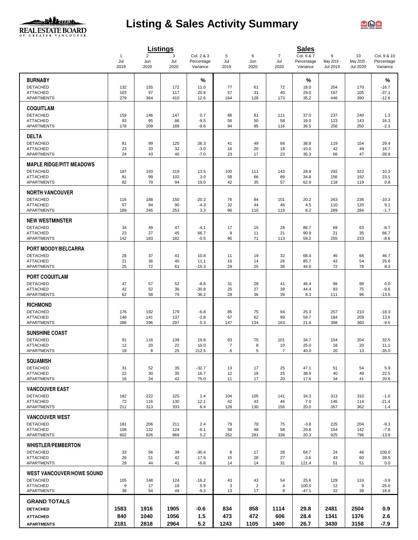

# **Listing & Sales Activity Summary**



|                                           |                  |                               | <b>Listings</b>  |                                      |                  |                      |                               | <b>Sales</b>                         |                             |                                     |                                       |
|-------------------------------------------|------------------|-------------------------------|------------------|--------------------------------------|------------------|----------------------|-------------------------------|--------------------------------------|-----------------------------|-------------------------------------|---------------------------------------|
|                                           | 1<br>Jul<br>2019 | $\overline{2}$<br>Jun<br>2020 | 3<br>Jul<br>2020 | Col. 2 & 3<br>Percentage<br>Variance | 5<br>Jul<br>2019 | 6<br>Jun<br>2020     | $\overline{7}$<br>Jul<br>2020 | Col. 6 & 7<br>Percentage<br>Variance | 9<br>May 2019 -<br>Jul 2019 | 10<br>May 2020 -<br><b>Jul 2020</b> | Col. 9 & 10<br>Percentage<br>Variance |
| <b>BURNABY</b>                            |                  |                               |                  | %                                    |                  |                      |                               | %                                    |                             |                                     | %                                     |
| <b>DETACHED</b>                           | 132              | 155                           | 172              | 11.0                                 | 77               | 61                   | 72                            | 18.0                                 | 204                         | 170                                 | $-16.7$                               |
| <b>ATTACHED</b>                           | 103              | 97                            | 117              | 20.6                                 | 57               | 31                   | 40                            | 29.0                                 | 167                         | 105                                 | $-37.1$                               |
| APARTMENTS                                | 279              | 364                           | 410              | 12.6                                 | 164              | 128                  | 173                           | 35.2                                 | 446                         | 390                                 | $-12.6$                               |
| <b>COQUITLAM</b>                          |                  |                               |                  |                                      |                  |                      |                               |                                      |                             |                                     |                                       |
| <b>DETACHED</b><br><b>ATTACHED</b>        | 159<br>93        | 146<br>95                     | 147<br>86        | 0.7<br>$-9.5$                        | 86<br>56         | 81<br>50             | 111<br>58                     | 37.0<br>16.0                         | 237<br>123                  | 240<br>143                          | 1.3<br>16.3                           |
| APARTMENTS                                | 178              | 209                           | 189              | $-9.6$                               | 94               | 85                   | 116                           | 36.5                                 | 256                         | 250                                 | $-2.3$                                |
| <b>DELTA</b>                              |                  |                               |                  |                                      |                  |                      |                               |                                      |                             |                                     |                                       |
| <b>DETACHED</b>                           | 81               | 99                            | 125              | 26.3                                 | 41               | 49                   | 68                            | 38.8                                 | 119                         | 154                                 | 29.4                                  |
| <b>ATTACHED</b><br>APARTMENTS             | 23<br>24         | 33<br>43                      | 32<br>40         | $-3.0$<br>$-7.0$                     | 16<br>23         | 20<br>17             | 18<br>23                      | $-10.0$<br>35.3                      | 42<br>66                    | 49<br>47                            | 16.7<br>$-28.8$                       |
|                                           |                  |                               |                  |                                      |                  |                      |                               |                                      |                             |                                     |                                       |
| <b>MAPLE RIDGE/PITT MEADOWS</b>           |                  |                               |                  |                                      |                  |                      |                               |                                      |                             |                                     |                                       |
| DETACHED<br><b>ATTACHED</b>               | 187<br>81        | 193<br>99                     | 219<br>102       | 13.5<br>3.0                          | 100<br>58        | 111<br>66            | 143<br>89                     | 28.8<br>34.8                         | 292<br>156                  | 322<br>192                          | 10.3<br>23.1                          |
| <b>APARTMENTS</b>                         | 82               | 79                            | 94               | 19.0                                 | 42               | 35                   | 57                            | 62.9                                 | 118                         | 119                                 | 0.8                                   |
| <b>NORTH VANCOUVER</b>                    |                  |                               |                  |                                      |                  |                      |                               |                                      |                             |                                     |                                       |
| <b>DETACHED</b>                           | 116              | 188                           | 150              | $-20.2$                              | 76               | 84                   | 101                           | 20.2                                 | 263                         | 236                                 | $-10.3$                               |
| <b>ATTACHED</b><br><b>APARTMENTS</b>      | 57<br>189        | 94<br>245                     | 90<br>253        | $-4.3$<br>3.3                        | 32<br>96         | 44<br>110            | 46<br>119                     | 4.5<br>8.2                           | 110<br>289                  | 120<br>284                          | 9.1<br>$-1.7$                         |
|                                           |                  |                               |                  |                                      |                  |                      |                               |                                      |                             |                                     |                                       |
| <b>NEW WESTMINSTER</b><br><b>DETACHED</b> |                  |                               |                  |                                      |                  |                      |                               |                                      |                             |                                     |                                       |
| <b>ATTACHED</b>                           | 34<br>23         | 49<br>27                      | 47<br>45         | $-4.1$<br>66.7                       | 17<br>9          | 15<br>11             | 28<br>21                      | 86.7<br>90.9                         | 69<br>21                    | 63<br>35                            | $-8.7$<br>66.7                        |
| APARTMENTS                                | 142              | 183                           | 182              | $-0.5$                               | 95               | 71                   | 113                           | 59.2                                 | 255                         | 233                                 | $-8.6$                                |
| PORT MOODY/BELCARRA                       |                  |                               |                  |                                      |                  |                      |                               |                                      |                             |                                     |                                       |
| <b>DETACHED</b>                           | 28               | 37                            | 41               | 10.8                                 | 11               | 19                   | 32                            | 68.4                                 | 45                          | 66                                  | 46.7                                  |
| <b>ATTACHED</b><br>APARTMENTS             | 21<br>25         | 36<br>72                      | 40<br>61         | 11.1<br>$-15.3$                      | 16<br>29         | 14<br>25             | 26<br>36                      | 85.7<br>44.0                         | 43<br>72                    | 54<br>78                            | 25.6<br>8.3                           |
|                                           |                  |                               |                  |                                      |                  |                      |                               |                                      |                             |                                     |                                       |
| <b>PORT COQUITLAM</b>                     |                  |                               |                  |                                      |                  |                      |                               |                                      |                             |                                     |                                       |
| <b>DETACHED</b><br><b>ATTACHED</b>        | 47<br>42         | 57<br>52                      | 52<br>36         | $-8.8$<br>$-30.8$                    | 31<br>25         | 28<br>27             | 41<br>39                      | 46.4<br>44.4                         | 99<br>83                    | 99<br>75                            | 0.0<br>$-9.6$                         |
| APARTMENTS                                | 62               | 58                            | 79               | 36.2                                 | 29               | 36                   | 39                            | 8.3                                  | 111                         | 96                                  | $-13.5$                               |
| <b>RICHMOND</b>                           |                  |                               |                  |                                      |                  |                      |                               |                                      |                             |                                     |                                       |
| <b>DETACHED</b>                           | 176              | 192                           | 179              | $-6.8$                               | 85               | 75                   | 94                            | 25.3                                 | 257                         | 210                                 | $-18.3$                               |
| <b>ATTACHED</b><br>APARTMENTS             | 148<br>286       | 141<br>296                    | 137<br>297       | $-2.8$<br>0.3                        | 67<br>147        | 62<br>134            | 99<br>163                     | 59.7<br>21.6                         | 184<br>398                  | 209<br>360                          | 13.6<br>$-9.5$                        |
|                                           |                  |                               |                  |                                      |                  |                      |                               |                                      |                             |                                     |                                       |
| <b>SUNSHINE COAST</b><br><b>DETACHED</b>  | 91               | 116                           | 139              | 19.8                                 | 63               | 75                   | 101                           | 34.7                                 | 154                         | 204                                 | 32.5                                  |
| <b>ATTACHED</b>                           | 12               | 20                            | 22               | 10.0                                 | $\overline{7}$   | 8                    | 10                            | 25.0                                 | 18                          | 20                                  | 11.1                                  |
| <b>APARTMENTS</b>                         | 18               | 8                             | 25               | 212.5                                | 6                | 5                    | 7                             | 40.0                                 | 20                          | 13                                  | $-35.0$                               |
| <b>SQUAMISH</b>                           |                  |                               |                  |                                      |                  |                      |                               |                                      |                             |                                     |                                       |
| <b>DETACHED</b>                           | 31               | 52                            | 35               | $-32.7$                              | 13               | 17                   | 25                            | 47.1                                 | 51                          | 54                                  | 5.9                                   |
| <b>ATTACHED</b><br><b>APARTMENTS</b>      | 22<br>16         | 30<br>24                      | 35<br>42         | 16.7<br>75.0                         | 12<br>11         | 18<br>17             | 25<br>20                      | 38.9<br>17.6                         | 40<br>34                    | 49<br>41                            | 22.5<br>20.6                          |
| <b>VANCOUVER EAST</b>                     |                  |                               |                  |                                      |                  |                      |                               |                                      |                             |                                     |                                       |
| <b>DETACHED</b>                           | 182              | 222                           | 225              | 1.4                                  | 104              | 105                  | 141                           | 34.3                                 | 313                         | 310                                 | $-1.0$                                |
| <b>ATTACHED</b>                           | 72               | 116                           | 130              | 12.1                                 | 42               | 43                   | 46                            | 7.0                                  | 145                         | 114                                 | $-21.4$                               |
| <b>APARTMENTS</b>                         | 211              | 313                           | 333              | 6.4                                  | 128              | 130                  | 156                           | 20.0                                 | 357                         | 362                                 | 1.4                                   |
| <b>VANCOUVER WEST</b>                     |                  |                               |                  |                                      |                  |                      |                               |                                      |                             |                                     |                                       |
| <b>DETACHED</b><br><b>ATTACHED</b>        | 181<br>108       | 206<br>132                    | 211<br>124       | 2.4<br>$-6.1$                        | 79<br>58         | 78<br>48             | 75<br>58                      | $-3.8$<br>20.8                       | 225<br>154                  | 204<br>142                          | $-9.3$<br>$-7.8$                      |
| <b>APARTMENTS</b>                         | 602              | 826                           | 869              | 5.2                                  | 352              | 281                  | 338                           | 20.3                                 | 925                         | 796                                 | $-13.9$                               |
| <b>WHISTLER/PEMBERTON</b>                 |                  |                               |                  |                                      |                  |                      |                               |                                      |                             |                                     |                                       |
| <b>DETACHED</b>                           | 33               | 56                            | 39               | $-30.4$                              | 8                | 17                   | 28                            | 64.7                                 | 24                          | 48                                  | 100.0                                 |
| <b>ATTACHED</b>                           | 26               | 51                            | 42               | $-17.6$                              | 15               | 28                   | 27                            | $-3.6$                               | 43                          | 60                                  | 39.5                                  |
| APARTMENTS                                | 29               | 44                            | 41               | $-6.8$                               | 14               | 14                   | 31                            | 121.4                                | 51                          | 51                                  | 0.0                                   |
| <b>WEST VANCOUVER/HOWE SOUND</b>          |                  |                               |                  |                                      |                  |                      |                               |                                      |                             |                                     |                                       |
| <b>DETACHED</b><br><b>ATTACHED</b>        | 105<br>9         | 148<br>17                     | 124<br>18        | $-16.2$<br>5.9                       | 43<br>3          | 43<br>$\overline{2}$ | 54<br>4                       | 25.6<br>100.0                        | 129<br>12                   | 124<br>9                            | $-3.9$<br>$-25.0$                     |
| <b>APARTMENTS</b>                         | 38               | 54                            | 49               | $-9.3$                               | 13               | 17                   | 9                             | $-47.1$                              | 32                          | 38                                  | 18.8                                  |
| <b>GRAND TOTALS</b>                       |                  |                               |                  |                                      |                  |                      |                               |                                      |                             |                                     |                                       |
| <b>DETACHED</b>                           | 1583             | 1916                          | 1905             | -0.6                                 | 834              | 858                  | 1114                          | 29.8                                 | 2481                        | 2504                                | 0.9                                   |
| <b>ATTACHED</b>                           | 840              | 1040                          | 1056             | 1.5                                  | 473              | 472                  | 606                           | 28.4                                 | 1341                        | 1376                                | 2.6                                   |
| <b>APARTMENTS</b>                         | 2181             | 2818                          | 2964             | 5.2                                  | 1243             | 1105                 | 1400                          | 26.7                                 | 3430                        | 3158                                | $-7.9$                                |